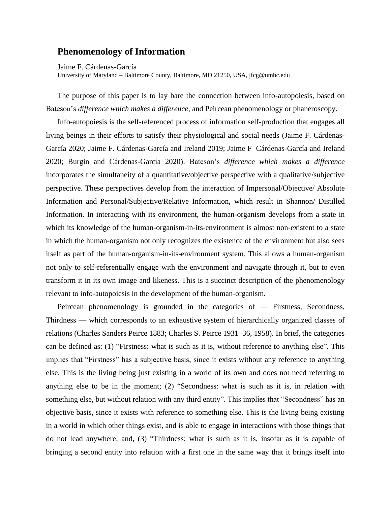## **Phenomenology of Information**

Jaime F. Cárdenas-García

University of Maryland – Baltimore County, Baltimore, MD 21250, USA, jfcg@umbc.edu

The purpose of this paper is to lay bare the connection between info-autopoiesis, based on Bateson's *difference which makes a difference*, and Peircean phenomenology or phaneroscopy.

Info-autopoiesis is the self-referenced process of information self-production that engages all living beings in their efforts to satisfy their physiological and social needs (Jaime F. Cárdenas-García 2020; Jaime F. Cárdenas-García and Ireland 2019; Jaime F Cárdenas-García and Ireland 2020; Burgin and Cárdenas-García 2020). Bateson's *difference which makes a difference* incorporates the simultaneity of a quantitative/objective perspective with a qualitative/subjective perspective. These perspectives develop from the interaction of Impersonal/Objective/ Absolute Information and Personal/Subjective/Relative Information, which result in Shannon/ Distilled Information. In interacting with its environment, the human-organism develops from a state in which its knowledge of the human-organism-in-its-environment is almost non-existent to a state in which the human-organism not only recognizes the existence of the environment but also sees itself as part of the human-organism-in-its-environment system. This allows a human-organism not only to self-referentially engage with the environment and navigate through it, but to even transform it in its own image and likeness. This is a succinct description of the phenomenology relevant to info-autopoiesis in the development of the human-organism.

Peircean phenomenology is grounded in the categories of — Firstness, Secondness, Thirdness — which corresponds to an exhaustive system of hierarchically organized classes of relations (Charles Sanders Peirce 1883; Charles S. Peirce 1931–36, 1958). In brief, the categories can be defined as: (1) "Firstness: what is such as it is, without reference to anything else". This implies that "Firstness" has a subjective basis, since it exists without any reference to anything else. This is the living being just existing in a world of its own and does not need referring to anything else to be in the moment; (2) "Secondness: what is such as it is, in relation with something else, but without relation with any third entity". This implies that "Secondness" has an objective basis, since it exists with reference to something else. This is the living being existing in a world in which other things exist, and is able to engage in interactions with those things that do not lead anywhere; and, (3) "Thirdness: what is such as it is, insofar as it is capable of bringing a second entity into relation with a first one in the same way that it brings itself into